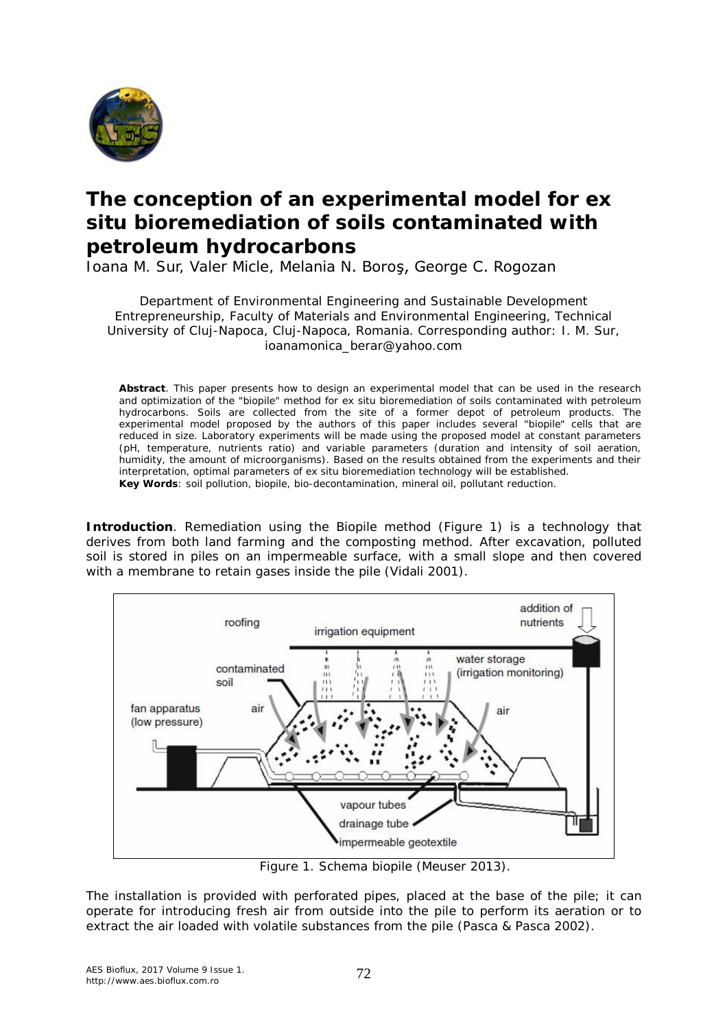

## **The conception of an experimental model for ex situ bioremediation of soils contaminated with petroleum hydrocarbons**

Ioana M. Sur, Valer Micle, Melania N. Boroş, George C. Rogozan

Department of Environmental Engineering and Sustainable Development Entrepreneurship, Faculty of Materials and Environmental Engineering, Technical University of Cluj-Napoca, Cluj-Napoca, Romania. Corresponding author: I. M. Sur, ioanamonica\_berar@yahoo.com

**Abstract**. This paper presents how to design an experimental model that can be used in the research and optimization of the "biopile" method for ex situ bioremediation of soils contaminated with petroleum hydrocarbons. Soils are collected from the site of a former depot of petroleum products. The experimental model proposed by the authors of this paper includes several "biopile" cells that are reduced in size. Laboratory experiments will be made using the proposed model at constant parameters (pH, temperature, nutrients ratio) and variable parameters (duration and intensity of soil aeration, humidity, the amount of microorganisms). Based on the results obtained from the experiments and their interpretation, optimal parameters of ex situ bioremediation technology will be established. **Key Words**: soil pollution, biopile, bio-decontamination, mineral oil, pollutant reduction.

**Introduction**. Remediation using the Biopile method (Figure 1) is a technology that derives from both land farming and the composting method. After excavation, polluted soil is stored in piles on an impermeable surface, with a small slope and then covered with a membrane to retain gases inside the pile (Vidali 2001).



Figure 1. Schema biopile (Meuser 2013).

The installation is provided with perforated pipes, placed at the base of the pile; it can operate for introducing fresh air from outside into the pile to perform its aeration or to extract the air loaded with volatile substances from the pile (Pasca & Pasca 2002).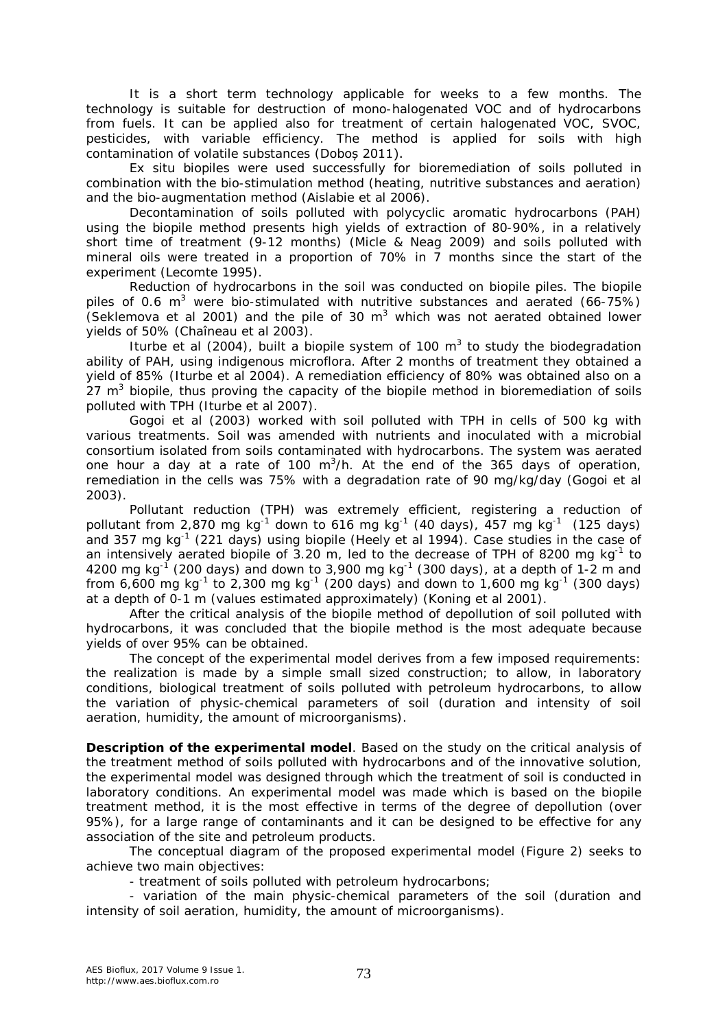It is a short term technology applicable for weeks to a few months. The technology is suitable for destruction of mono-halogenated VOC and of hydrocarbons from fuels. It can be applied also for treatment of certain halogenated VOC, SVOC, pesticides, with variable efficiency. The method is applied for soils with high contamination of volatile substances (Doboș 2011).

Ex situ biopiles were used successfully for bioremediation of soils polluted in combination with the bio-stimulation method (heating, nutritive substances and aeration) and the bio-augmentation method (Aislabie et al 2006).

Decontamination of soils polluted with polycyclic aromatic hydrocarbons (PAH) using the biopile method presents high yields of extraction of 80-90%, in a relatively short time of treatment (9-12 months*) (*Micle & Neag 2009) and soils polluted with mineral oils were treated in a proportion of 70% in 7 months since the start of the experiment (Lecomte 1995).

Reduction of hydrocarbons in the soil was conducted on biopile piles. The biopile piles of 0.6  $m^3$  were bio-stimulated with nutritive substances and aerated (66-75%) (Seklemova et al 2001) and the pile of 30  $m<sup>3</sup>$  which was not aerated obtained lower yields of 50% (Chaîneau et al 2003).

Iturbe et al (2004), built a biopile system of 100  $m<sup>3</sup>$  to study the biodegradation ability of PAH, using indigenous microflora. After 2 months of treatment they obtained a yield of 85% (Iturbe et al 2004). A remediation efficiency of 80% was obtained also on a  $27 \text{ m}^3$  biopile, thus proving the capacity of the biopile method in bioremediation of soils polluted with TPH (Iturbe et al 2007).

Gogoi et al (2003) worked with soil polluted with TPH in cells of 500 kg with various treatments. Soil was amended with nutrients and inoculated with a microbial consortium isolated from soils contaminated with hydrocarbons. The system was aerated one hour a day at a rate of 100 m<sup>3</sup>/h. At the end of the 365 days of operation, remediation in the cells was 75% with a degradation rate of 90 mg/kg/day (Gogoi et al 2003).

Pollutant reduction (TPH) was extremely efficient, registering a reduction of pollutant from 2,870 mg kg<sup>-1</sup> down to 616 mg kg<sup>-1</sup> (40 days), 457 mg kg<sup>-1</sup> (125 days) and 357 mg kg<sup>-1</sup> (221 days) using biopile (Heely et al 1994). Case studies in the case of an intensively aerated biopile of 3.20 m, led to the decrease of TPH of 8200 mg  $kg^{-1}$  to 4200 mg kg<sup>-1</sup> (200 days) and down to 3,900 mg kg<sup>-1</sup> (300 days), at a depth of 1-2 m and from 6,600 mg kg<sup>-1</sup> to 2,300 mg kg<sup>-1</sup> (200 days) and down to 1,600 mg kg<sup>-1</sup> (300 days) at a depth of 0-1 m (values estimated approximately) (Koning et al 2001).

After the critical analysis of the biopile method of depollution of soil polluted with hydrocarbons, it was concluded that the biopile method is the most adequate because yields of over 95% can be obtained.

The concept of the experimental model derives from a few imposed requirements: the realization is made by a simple small sized construction; to allow, in laboratory conditions, biological treatment of soils polluted with petroleum hydrocarbons, to allow the variation of physic-chemical parameters of soil (duration and intensity of soil aeration, humidity, the amount of microorganisms).

**Description of the experimental model**. Based on the study on the critical analysis of the treatment method of soils polluted with hydrocarbons and of the innovative solution, the experimental model was designed through which the treatment of soil is conducted in laboratory conditions. An experimental model was made which is based on the biopile treatment method, it is the most effective in terms of the degree of depollution (over 95%), for a large range of contaminants and it can be designed to be effective for any association of the site and petroleum products.

The conceptual diagram of the proposed experimental model (Figure 2) seeks to achieve two main objectives:

- treatment of soils polluted with petroleum hydrocarbons;

- variation of the main physic-chemical parameters of the soil (duration and intensity of soil aeration, humidity, the amount of microorganisms).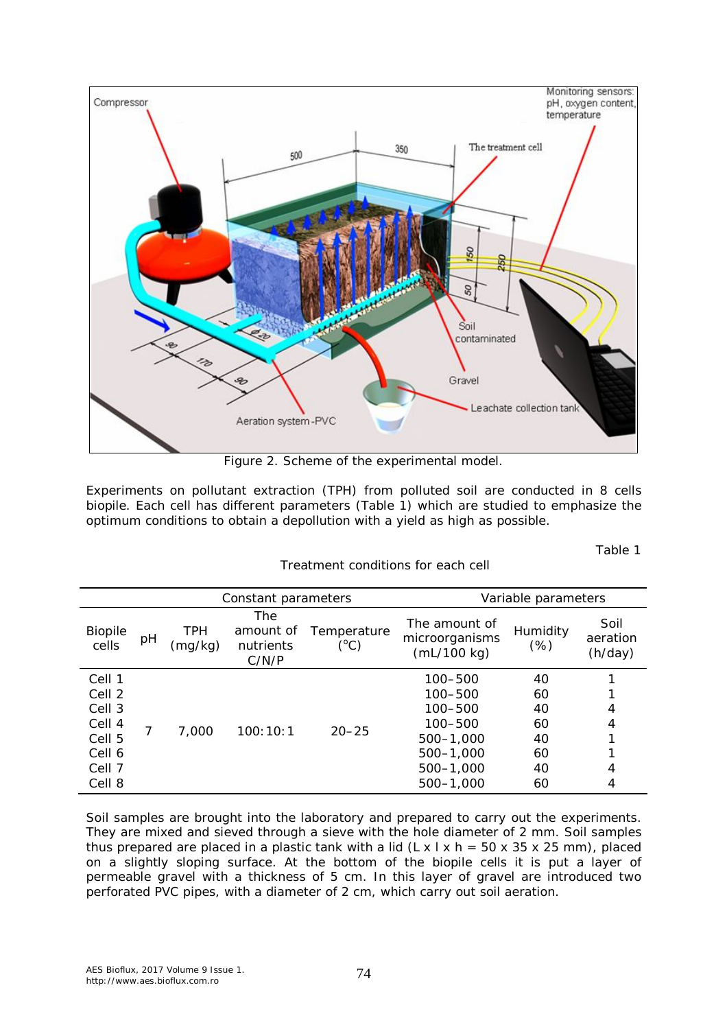

Figure 2. Scheme of the experimental model.

Experiments on pollutant extraction (TPH) from polluted soil are conducted in 8 cells biopile. Each cell has different parameters (Table 1) which are studied to emphasize the optimum conditions to obtain a depollution with a yield as high as possible.

Table 1

|                                                                              | Constant parameters |                       |                                        |                     | Variable parameters                                                                          |                                              |                             |
|------------------------------------------------------------------------------|---------------------|-----------------------|----------------------------------------|---------------------|----------------------------------------------------------------------------------------------|----------------------------------------------|-----------------------------|
| <b>Biopile</b><br>cells                                                      | pН                  | <b>TPH</b><br>(mg/kg) | The<br>amount of<br>nutrients<br>C/N/P | Temperature<br>(°C) | The amount of<br>microorganisms<br>(mL/100 kg)                                               | Humidity<br>(%)                              | Soil<br>aeration<br>(h/day) |
| Cell 1<br>Cell 2<br>Cell 3<br>Cell 4<br>Cell 5<br>Cell 6<br>Cell 7<br>Cell 8 |                     | 7,000                 | 100:10:1                               | $20 - 25$           | 100-500<br>100-500<br>100-500<br>100-500<br>500-1.000<br>500-1.000<br>500-1.000<br>500-1.000 | 40<br>60<br>40<br>60<br>40<br>60<br>40<br>60 | 4<br>4<br>4<br>4            |

Treatment conditions for each cell

Soil samples are brought into the laboratory and prepared to carry out the experiments. They are mixed and sieved through a sieve with the hole diameter of 2 mm. Soil samples thus prepared are placed in a plastic tank with a lid  $(L \times L \times h = 50 \times 35 \times 25$  mm), placed on a slightly sloping surface. At the bottom of the biopile cells it is put a layer of permeable gravel with a thickness of 5 cm. In this layer of gravel are introduced two perforated PVC pipes, with a diameter of 2 cm, which carry out soil aeration.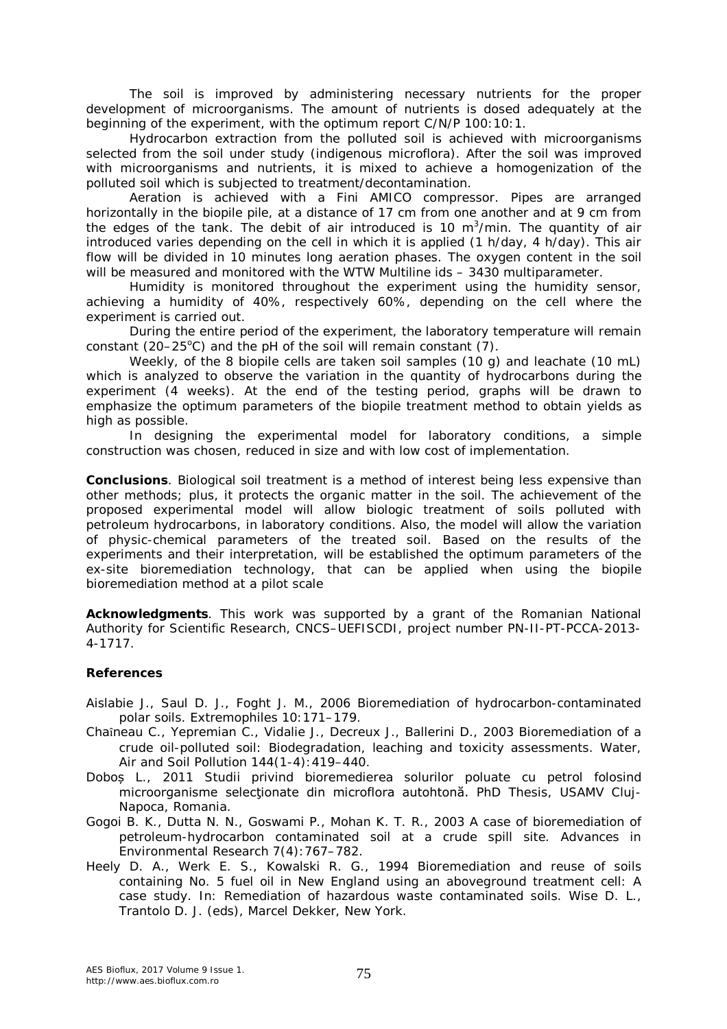The soil is improved by administering necessary nutrients for the proper development of microorganisms. The amount of nutrients is dosed adequately at the beginning of the experiment, with the optimum report C/N/P 100:10:1.

Hydrocarbon extraction from the polluted soil is achieved with microorganisms selected from the soil under study (indigenous microflora). After the soil was improved with microorganisms and nutrients, it is mixed to achieve a homogenization of the polluted soil which is subjected to treatment/decontamination.

Aeration is achieved with a Fini AMICO compressor. Pipes are arranged horizontally in the biopile pile, at a distance of 17 cm from one another and at 9 cm from the edges of the tank. The debit of air introduced is 10  $m^3/m$ in. The quantity of air introduced varies depending on the cell in which it is applied (1 h/day, 4 h/day). This air flow will be divided in 10 minutes long aeration phases. The oxygen content in the soil will be measured and monitored with the WTW Multiline ids - 3430 multiparameter.

Humidity is monitored throughout the experiment using the humidity sensor, achieving a humidity of 40%, respectively 60%, depending on the cell where the experiment is carried out.

During the entire period of the experiment, the laboratory temperature will remain constant (20–25 $\degree$ C) and the pH of the soil will remain constant (7).

Weekly, of the 8 biopile cells are taken soil samples (10 g) and leachate (10 mL) which is analyzed to observe the variation in the quantity of hydrocarbons during the experiment (4 weeks). At the end of the testing period, graphs will be drawn to emphasize the optimum parameters of the biopile treatment method to obtain yields as high as possible.

In designing the experimental model for laboratory conditions, a simple construction was chosen, reduced in size and with low cost of implementation.

**Conclusions**. Biological soil treatment is a method of interest being less expensive than other methods; plus, it protects the organic matter in the soil. The achievement of the proposed experimental model will allow biologic treatment of soils polluted with petroleum hydrocarbons, in laboratory conditions. Also, the model will allow the variation of physic-chemical parameters of the treated soil. Based on the results of the experiments and their interpretation, will be established the optimum parameters of the ex-site bioremediation technology, that can be applied when using the biopile bioremediation method at a pilot scale

**Acknowledgments**. This work was supported by a grant of the Romanian National Authority for Scientific Research, CNCS–UEFISCDI, project number PN-II-PT-PCCA-2013- 4-1717.

## **References**

- Aislabie J., Saul D. J., Foght J. M., 2006 Bioremediation of hydrocarbon-contaminated polar soils. Extremophiles 10:171–179.
- Chaȋneau C., Yepremian C., Vidalie J., Decreux J., Ballerini D., 2003 Bioremediation of a crude oil-polluted soil: Biodegradation, leaching and toxicity assessments. Water, Air and Soil Pollution 144(1-4):419–440.
- Doboș L., 2011 Studii privind bioremedierea solurilor poluate cu petrol folosind microorganisme selectionate din microflora autohtonă. PhD Thesis, USAMV Clui-Napoca, Romania.
- Gogoi B. K., Dutta N. N., Goswami P., Mohan K. T. R., 2003 A case of bioremediation of petroleum-hydrocarbon contaminated soil at a crude spill site. Advances in Environmental Research 7(4):767–782.
- Heely D. A., Werk E. S., Kowalski R. G., 1994 Bioremediation and reuse of soils containing No. 5 fuel oil in New England using an aboveground treatment cell: A case study. In: Remediation of hazardous waste contaminated soils. Wise D. L., Trantolo D. J. (eds), Marcel Dekker, New York.